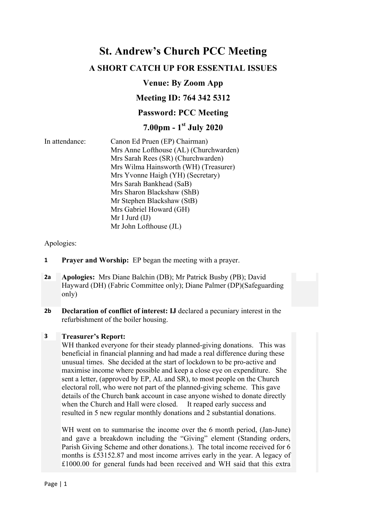# **St. Andrew's Church PCC Meeting**

# **A SHORT CATCH UP FOR ESSENTIAL ISSUES**

## **Venue: By Zoom App**

## **Meeting ID: 764 342 5312**

## **Password: PCC Meeting**

## **7.00pm - 1st July 2020**

In attendance: Canon Ed Pruen (EP) Chairman) Mrs Anne Lofthouse (AL) (Churchwarden) Mrs Sarah Rees (SR) (Churchwarden) Mrs Wilma Hainsworth (WH) (Treasurer) Mrs Yvonne Haigh (YH) (Secretary) Mrs Sarah Bankhead (SaB) Mrs Sharon Blackshaw (ShB) Mr Stephen Blackshaw (StB) Mrs Gabriel Howard (GH) Mr I Jurd (IJ) Mr John Lofthouse (JL)

Apologies:

- **1 Prayer and Worship:** EP began the meeting with a prayer.
- **2a Apologies:** Mrs Diane Balchin (DB); Mr Patrick Busby (PB); David Hayward (DH) (Fabric Committee only); Diane Palmer (DP)(Safeguarding only)
- **2b Declaration of conflict of interest: IJ** declared a pecuniary interest in the refurbishment of the boiler housing.

## **3 Treasurer's Report:**

WH thanked everyone for their steady planned-giving donations. This was beneficial in financial planning and had made a real difference during these unusual times. She decided at the start of lockdown to be pro-active and maximise income where possible and keep a close eye on expenditure. She sent a letter, (approved by EP, AL and SR), to most people on the Church electoral roll, who were not part of the planned-giving scheme. This gave details of the Church bank account in case anyone wished to donate directly when the Church and Hall were closed. It reaped early success and resulted in 5 new regular monthly donations and 2 substantial donations.

WH went on to summarise the income over the 6 month period, (Jan-June) and gave a breakdown including the "Giving" element (Standing orders, Parish Giving Scheme and other donations.). The total income received for 6 months is £53152.87 and most income arrives early in the year. A legacy of £1000.00 for general funds had been received and WH said that this extra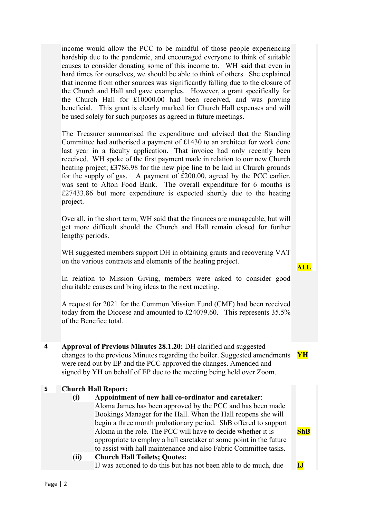income would allow the PCC to be mindful of those people experiencing hardship due to the pandemic, and encouraged everyone to think of suitable causes to consider donating some of this income to. WH said that even in hard times for ourselves, we should be able to think of others. She explained that income from other sources was significantly falling due to the closure of the Church and Hall and gave examples. However, a grant specifically for the Church Hall for £10000.00 had been received, and was proving beneficial. This grant is clearly marked for Church Hall expenses and will be used solely for such purposes as agreed in future meetings.

The Treasurer summarised the expenditure and advised that the Standing Committee had authorised a payment of £1430 to an architect for work done last year in a faculty application. That invoice had only recently been received. WH spoke of the first payment made in relation to our new Church heating project; £3786.98 for the new pipe line to be laid in Church grounds for the supply of gas. A payment of £200.00, agreed by the PCC earlier, was sent to Alton Food Bank. The overall expenditure for 6 months is £27433.86 but more expenditure is expected shortly due to the heating project.

Overall, in the short term, WH said that the finances are manageable, but will get more difficult should the Church and Hall remain closed for further lengthy periods.

WH suggested members support DH in obtaining grants and recovering VAT on the various contracts and elements of the heating project.

#### **ALL**

**ShB**

**IJ**

In relation to Mission Giving, members were asked to consider good charitable causes and bring ideas to the next meeting.

A request for 2021 for the Common Mission Fund (CMF) had been received today from the Diocese and amounted to £24079.60. This represents 35.5% of the Benefice total.

**4 Approval of Previous Minutes 28.1.20:** DH clarified and suggested changes to the previous Minutes regarding the boiler. Suggested amendments **YH** were read out by EP and the PCC approved the changes. Amended and signed by YH on behalf of EP due to the meeting being held over Zoom.

## **5 Church Hall Report:**

#### **(i) Appointment of new hall co-ordinator and caretaker**:

Aloma James has been approved by the PCC and has been made Bookings Manager for the Hall. When the Hall reopens she will begin a three month probationary period. ShB offered to support Aloma in the role. The PCC will have to decide whether it is appropriate to employ a hall caretaker at some point in the future to assist with hall maintenance and also Fabric Committee tasks.

# **(ii) Church Hall Toilets; Quotes:**

IJ was actioned to do this but has not been able to do much, due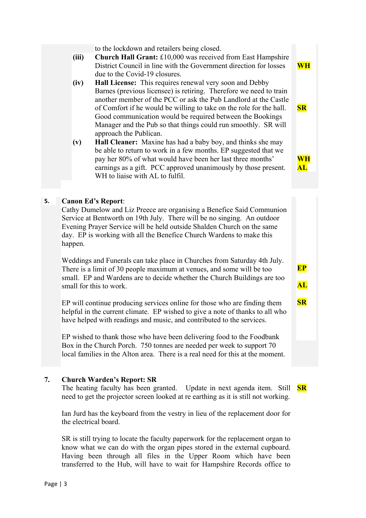to the lockdown and retailers being closed.

- **(iii) Church Hall Grant:** £10,000 was received from East Hampshire District Council in line with the Government direction for losses due to the Covid-19 closures.
- **(iv) Hall License:** This requires renewal very soon and Debby Barnes (previous licensee) is retiring. Therefore we need to train another member of the PCC or ask the Pub Landlord at the Castle of Comfort if he would be willing to take on the role for the hall. Good communication would be required between the Bookings Manager and the Pub so that things could run smoothly. SR will approach the Publican.
- **(v) Hall Cleaner:** Maxine has had a baby boy, and thinks she may be able to return to work in a few months. EP suggested that we pay her 80% of what would have been her last three months' earnings as a gift. PCC approved unanimously by those present. WH to liaise with AL to fulfil.

**5. Canon Ed's Report**:

Cathy Dumelow and Liz Preece are organising a Benefice Said Communion Service at Bentworth on 19th July. There will be no singing. An outdoor Evening Prayer Service will be held outside Shalden Church on the same day. EP is working with all the Benefice Church Wardens to make this happen.

Weddings and Funerals can take place in Churches from Saturday 4th July. There is a limit of 30 people maximum at venues, and some will be too small. EP and Wardens are to decide whether the Church Buildings are too small for this to work.

EP will continue producing services online for those who are finding them helpful in the current climate. EP wished to give a note of thanks to all who have helped with readings and music, and contributed to the services.

EP wished to thank those who have been delivering food to the Foodbank Box in the Church Porch. 750 tonnes are needed per week to support 70 local families in the Alton area. There is a real need for this at the moment.

#### **7. Church Warden's Report: SR**

The heating faculty has been granted. Update in next agenda item. Still **SR**need to get the projector screen looked at re earthing as it is still not working.

Ian Jurd has the keyboard from the vestry in lieu of the replacement door for the electrical board.

SR is still trying to locate the faculty paperwork for the replacement organ to know what we can do with the organ pipes stored in the external cupboard. Having been through all files in the Upper Room which have been transferred to the Hub, will have to wait for Hampshire Records office to

Page | 3

**AL**

**WH**

**WH**

**SR**

**AL SR**

**EP**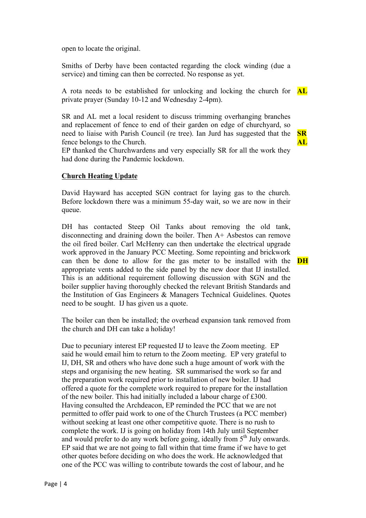open to locate the original.

Smiths of Derby have been contacted regarding the clock winding (due a service) and timing can then be corrected. No response as yet.

A rota needs to be established for unlocking and locking the church for **AL** private prayer (Sunday 10-12 and Wednesday 2-4pm).

SR and AL met a local resident to discuss trimming overhanging branches and replacement of fence to end of their garden on edge of churchyard, so need to liaise with Parish Council (re tree). Ian Jurd has suggested that the fence belongs to the Church.

**SR AL**

EP thanked the Churchwardens and very especially SR for all the work they had done during the Pandemic lockdown.

## **Church Heating Update**

David Hayward has accepted SGN contract for laying gas to the church. Before lockdown there was a minimum 55-day wait, so we are now in their queue.

DH has contacted Steep Oil Tanks about removing the old tank, disconnecting and draining down the boiler. Then A+ Asbestos can remove the oil fired boiler. Carl McHenry can then undertake the electrical upgrade work approved in the January PCC Meeting. Some repointing and brickwork can then be done to allow for the gas meter to be installed with the **DH**appropriate vents added to the side panel by the new door that IJ installed. This is an additional requirement following discussion with SGN and the boiler supplier having thoroughly checked the relevant British Standards and the Institution of Gas Engineers & Managers Technical Guidelines. Quotes need to be sought. IJ has given us a quote.

The boiler can then be installed; the overhead expansion tank removed from the church and DH can take a holiday!

Due to pecuniary interest EP requested IJ to leave the Zoom meeting. EP said he would email him to return to the Zoom meeting. EP very grateful to IJ, DH, SR and others who have done such a huge amount of work with the steps and organising the new heating. SR summarised the work so far and the preparation work required prior to installation of new boiler. IJ had offered a quote for the complete work required to prepare for the installation of the new boiler. This had initially included a labour charge of £300. Having consulted the Archdeacon, EP reminded the PCC that we are not permitted to offer paid work to one of the Church Trustees (a PCC member) without seeking at least one other competitive quote. There is no rush to complete the work. IJ is going on holiday from 14th July until September and would prefer to do any work before going, ideally from 5<sup>th</sup> July onwards. EP said that we are not going to fall within that time frame if we have to get other quotes before deciding on who does the work. He acknowledged that one of the PCC was willing to contribute towards the cost of labour, and he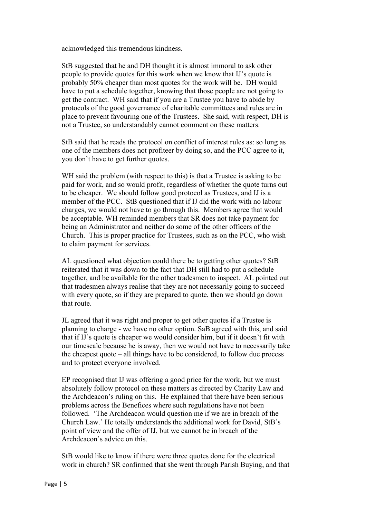acknowledged this tremendous kindness.

StB suggested that he and DH thought it is almost immoral to ask other people to provide quotes for this work when we know that IJ's quote is probably 50% cheaper than most quotes for the work will be. DH would have to put a schedule together, knowing that those people are not going to get the contract. WH said that if you are a Trustee you have to abide by protocols of the good governance of charitable committees and rules are in place to prevent favouring one of the Trustees. She said, with respect, DH is not a Trustee, so understandably cannot comment on these matters.

StB said that he reads the protocol on conflict of interest rules as: so long as one of the members does not profiteer by doing so, and the PCC agree to it, you don't have to get further quotes.

WH said the problem (with respect to this) is that a Trustee is asking to be paid for work, and so would profit, regardless of whether the quote turns out to be cheaper. We should follow good protocol as Trustees, and IJ is a member of the PCC. StB questioned that if IJ did the work with no labour charges, we would not have to go through this. Members agree that would be acceptable. WH reminded members that SR does not take payment for being an Administrator and neither do some of the other officers of the Church. This is proper practice for Trustees, such as on the PCC, who wish to claim payment for services.

AL questioned what objection could there be to getting other quotes? StB reiterated that it was down to the fact that DH still had to put a schedule together, and be available for the other tradesmen to inspect. AL pointed out that tradesmen always realise that they are not necessarily going to succeed with every quote, so if they are prepared to quote, then we should go down that route.

JL agreed that it was right and proper to get other quotes if a Trustee is planning to charge - we have no other option. SaB agreed with this, and said that if IJ's quote is cheaper we would consider him, but if it doesn't fit with our timescale because he is away, then we would not have to necessarily take the cheapest quote – all things have to be considered, to follow due process and to protect everyone involved.

EP recognised that IJ was offering a good price for the work, but we must absolutely follow protocol on these matters as directed by Charity Law and the Archdeacon's ruling on this. He explained that there have been serious problems across the Benefices where such regulations have not been followed. 'The Archdeacon would question me if we are in breach of the Church Law.' He totally understands the additional work for David, StB's point of view and the offer of IJ, but we cannot be in breach of the Archdeacon's advice on this.

StB would like to know if there were three quotes done for the electrical work in church? SR confirmed that she went through Parish Buying, and that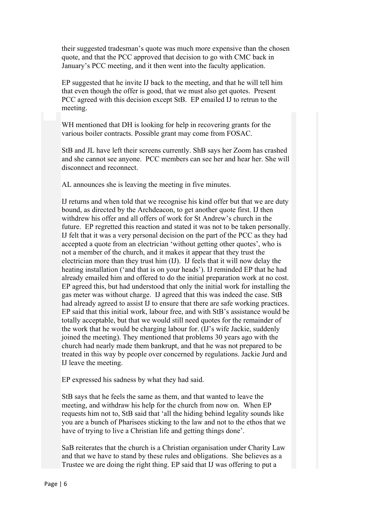their suggested tradesman's quote was much more expensive than the chosen quote, and that the PCC approved that decision to go with CMC back in January's PCC meeting, and it then went into the faculty application.

EP suggested that he invite IJ back to the meeting, and that he will tell him that even though the offer is good, that we must also get quotes. Present PCC agreed with this decision except StB. EP emailed IJ to retrun to the meeting.

WH mentioned that DH is looking for help in recovering grants for the various boiler contracts. Possible grant may come from FOSAC.

StB and JL have left their screens currently. ShB says her Zoom has crashed and she cannot see anyone. PCC members can see her and hear her. She will disconnect and reconnect.

AL announces she is leaving the meeting in five minutes.

IJ returns and when told that we recognise his kind offer but that we are duty bound, as directed by the Archdeacon, to get another quote first. IJ then withdrew his offer and all offers of work for St Andrew's church in the future. EP regretted this reaction and stated it was not to be taken personally. IJ felt that it was a very personal decision on the part of the PCC as they had accepted a quote from an electrician 'without getting other quotes', who is not a member of the church, and it makes it appear that they trust the electrician more than they trust him (IJ). IJ feels that it will now delay the heating installation ('and that is on your heads'). IJ reminded EP that he had already emailed him and offered to do the initial preparation work at no cost. EP agreed this, but had understood that only the initial work for installing the gas meter was without charge. IJ agreed that this was indeed the case. StB had already agreed to assist IJ to ensure that there are safe working practices. EP said that this initial work, labour free, and with StB's assistance would be totally acceptable, but that we would still need quotes for the remainder of the work that he would be charging labour for. (IJ's wife Jackie, suddenly joined the meeting). They mentioned that problems 30 years ago with the church had nearly made them bankrupt, and that he was not prepared to be treated in this way by people over concerned by regulations. Jackie Jurd and IJ leave the meeting.

EP expressed his sadness by what they had said.

StB says that he feels the same as them, and that wanted to leave the meeting, and withdraw his help for the church from now on. When EP requests him not to, StB said that 'all the hiding behind legality sounds like you are a bunch of Pharisees sticking to the law and not to the ethos that we have of trying to live a Christian life and getting things done'.

SaB reiterates that the church is a Christian organisation under Charity Law and that we have to stand by these rules and obligations. She believes as a Trustee we are doing the right thing. EP said that IJ was offering to put a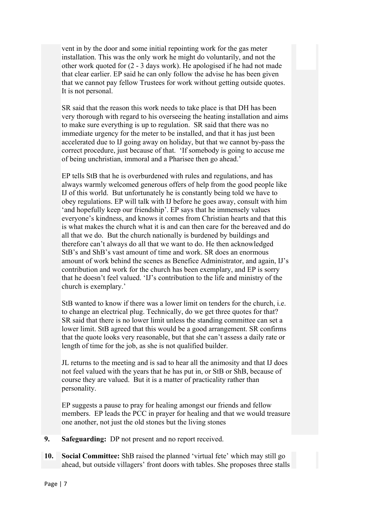vent in by the door and some initial repointing work for the gas meter installation. This was the only work he might do voluntarily, and not the other work quoted for (2 - 3 days work). He apologised if he had not made that clear earlier. EP said he can only follow the advise he has been given that we cannot pay fellow Trustees for work without getting outside quotes. It is not personal.

SR said that the reason this work needs to take place is that DH has been very thorough with regard to his overseeing the heating installation and aims to make sure everything is up to regulation. SR said that there was no immediate urgency for the meter to be installed, and that it has just been accelerated due to IJ going away on holiday, but that we cannot by-pass the correct procedure, just because of that. 'If somebody is going to accuse me of being unchristian, immoral and a Pharisee then go ahead.'

EP tells StB that he is overburdened with rules and regulations, and has always warmly welcomed generous offers of help from the good people like IJ of this world. But unfortunately he is constantly being told we have to obey regulations. EP will talk with IJ before he goes away, consult with him 'and hopefully keep our friendship'. EP says that he immensely values everyone's kindness, and knows it comes from Christian hearts and that this is what makes the church what it is and can then care for the bereaved and do all that we do. But the church nationally is burdened by buildings and therefore can't always do all that we want to do. He then acknowledged StB's and ShB's vast amount of time and work. SR does an enormous amount of work behind the scenes as Benefice Administrator, and again, IJ's contribution and work for the church has been exemplary, and EP is sorry that he doesn't feel valued. 'IJ's contribution to the life and ministry of the church is exemplary.'

StB wanted to know if there was a lower limit on tenders for the church, i.e. to change an electrical plug. Technically, do we get three quotes for that? SR said that there is no lower limit unless the standing committee can set a lower limit. StB agreed that this would be a good arrangement. SR confirms that the quote looks very reasonable, but that she can't assess a daily rate or length of time for the job, as she is not qualified builder.

JL returns to the meeting and is sad to hear all the animosity and that IJ does not feel valued with the years that he has put in, or StB or ShB, because of course they are valued. But it is a matter of practicality rather than personality.

EP suggests a pause to pray for healing amongst our friends and fellow members. EP leads the PCC in prayer for healing and that we would treasure one another, not just the old stones but the living stones

- **9. Safeguarding:** DP not present and no report received.
- **10. Social Committee:** ShB raised the planned 'virtual fete' which may still go ahead, but outside villagers' front doors with tables. She proposes three stalls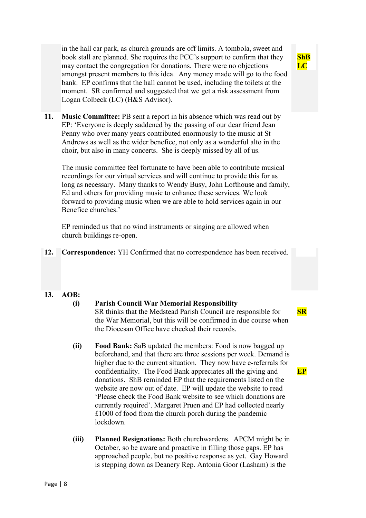in the hall car park, as church grounds are off limits. A tombola, sweet and book stall are planned. She requires the PCC's support to confirm that they may contact the congregation for donations. There were no objections amongst present members to this idea. Any money made will go to the food bank. EP confirms that the hall cannot be used, including the toilets at the moment. SR confirmed and suggested that we get a risk assessment from Logan Colbeck (LC) (H&S Advisor).

**ShB LC**

**SR**

**EP**

**11. Music Committee:** PB sent a report in his absence which was read out by EP: 'Everyone is deeply saddened by the passing of our dear friend Jean Penny who over many years contributed enormously to the music at St Andrews as well as the wider benefice, not only as a wonderful alto in the choir, but also in many concerts. She is deeply missed by all of us.

The music committee feel fortunate to have been able to contribute musical recordings for our virtual services and will continue to provide this for as long as necessary. Many thanks to Wendy Busy, John Lofthouse and family, Ed and others for providing music to enhance these services. We look forward to providing music when we are able to hold services again in our Benefice churches.'

EP reminded us that no wind instruments or singing are allowed when church buildings re-open.

**12. Correspondence:** YH Confirmed that no correspondence has been received.

## **13. AOB:**

## **(i) Parish Council War Memorial Responsibility**

SR thinks that the Medstead Parish Council are responsible for the War Memorial, but this will be confirmed in due course when the Diocesan Office have checked their records.

- **(ii) Food Bank:** SaB updated the members: Food is now bagged up beforehand, and that there are three sessions per week. Demand is higher due to the current situation. They now have e-referrals for confidentiality. The Food Bank appreciates all the giving and donations. ShB reminded EP that the requirements listed on the website are now out of date. EP will update the website to read 'Please check the Food Bank website to see which donations are currently required'. Margaret Pruen and EP had collected nearly £1000 of food from the church porch during the pandemic lockdown.
- **(iii) Planned Resignations:** Both churchwardens. APCM might be in October, so be aware and proactive in filling those gaps. EP has approached people, but no positive response as yet. Gay Howard is stepping down as Deanery Rep. Antonia Goor (Lasham) is the